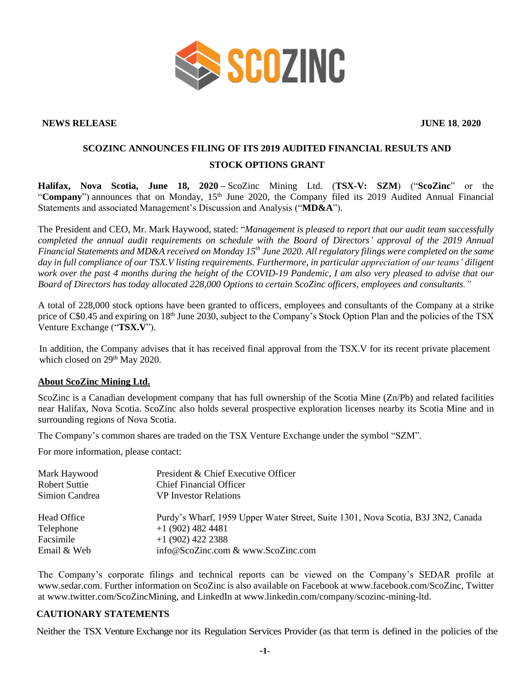

## **NEWS RELEASE JUNE 18**, **2020**

## **SCOZINC ANNOUNCES FILING OF ITS 2019 AUDITED FINANCIAL RESULTS AND STOCK OPTIONS GRANT**

**Halifax, Nova Scotia, June 18, 2020 –** ScoZinc Mining Ltd. (**TSX-V: SZM**) ("**ScoZinc**" or the "Company") announces that on Monday, 15<sup>th</sup> June 2020, the Company filed its 2019 Audited Annual Financial Statements and associated Management's Discussion and Analysis ("**MD&A**").

The President and CEO, Mr. Mark Haywood, stated: "*Management is pleased to report that our audit team successfully completed the annual audit requirements on schedule with the Board of Directors' approval of the 2019 Annual Financial Statements and MD&A received on Monday 15 th June 2020. All regulatory filings were completed on the same day in full compliance of our TSX.V listing requirements. Furthermore, in particular appreciation of our teams' diligent work over the past 4 months during the height of the COVID-19 Pandemic, I am also very pleased to advise that our Board of Directors has today allocated 228,000 Options to certain ScoZinc officers, employees and consultants."*

A total of 228,000 stock options have been granted to officers, employees and consultants of the Company at a strike price of C\$0.45 and expiring on 18th June 2030, subject to the Company's Stock Option Plan and the policies of the TSX Venture Exchange ("**TSX.V**").

In addition, the Company advises that it has received final approval from the TSX.V for its recent private placement which closed on 29<sup>th</sup> May 2020.

## **About ScoZinc Mining Ltd.**

ScoZinc is a Canadian development company that has full ownership of the Scotia Mine (Zn/Pb) and related facilities near Halifax, Nova Scotia. ScoZinc also holds several prospective exploration licenses nearby its Scotia Mine and in surrounding regions of Nova Scotia.

The Company's common shares are traded on the TSX Venture Exchange under the symbol "SZM".

For more information, please contact:

| Mark Haywood<br>Robert Suttie | President & Chief Executive Officer<br><b>Chief Financial Officer</b>            |
|-------------------------------|----------------------------------------------------------------------------------|
| Simion Candrea                | <b>VP</b> Investor Relations                                                     |
| Head Office                   | Purdy's Wharf, 1959 Upper Water Street, Suite 1301, Nova Scotia, B3J 3N2, Canada |
| Telephone                     | $+1$ (902) 482 4481                                                              |
| Facsimile                     | $+1$ (902) 422 2388                                                              |
| Email & Web                   | info@ScoZinc.com & www.ScoZinc.com                                               |

The Company's corporate filings and technical reports can be viewed on the Company's SEDAR profile at [www.sedar.com.](http://www.sedar.com/) Further information on ScoZinc is also available on Facebook at www.facebook.com/ScoZinc, Twitter at www.twitter.com/ScoZincMining, and LinkedIn at www.linkedin.com/company/scozinc-mining-ltd.

## **CAUTIONARY STATEMENTS**

Neither the TSX Venture Exchange nor its Regulation Services Provider (as that term is defined in the policies of the